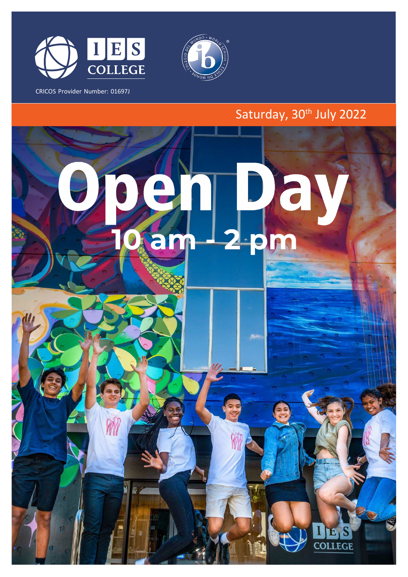

CRICOS Provider Number: 01697J



## Saturday, 30<sup>th</sup> July 2022

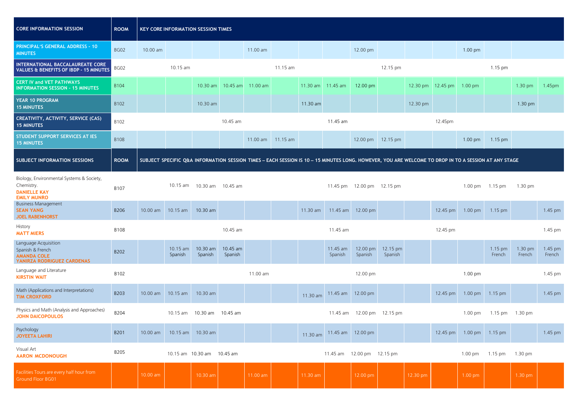| <b>CORE INFORMATION SESSION</b>                                                                      | <b>ROOM</b> |          |                     | <b>KEY CORE INFORMATION SESSION TIMES</b> |                            |          |          |                   |                     |                            |                                                                                                                                                      |          |                   |                   |                   |                   |                   |
|------------------------------------------------------------------------------------------------------|-------------|----------|---------------------|-------------------------------------------|----------------------------|----------|----------|-------------------|---------------------|----------------------------|------------------------------------------------------------------------------------------------------------------------------------------------------|----------|-------------------|-------------------|-------------------|-------------------|-------------------|
| <b>PRINCIPAL'S GENERAL ADDRESS - 10</b><br><b>MINUTES</b>                                            | <b>BG02</b> | 10.00 am |                     |                                           |                            | 11.00 am |          |                   |                     | 12.00 pm                   |                                                                                                                                                      |          |                   | $1.00 \text{ pm}$ |                   |                   |                   |
| INTERNATIONAL BACCALAUREATE CORE<br><b>VALUES &amp; BENEFITS OF IBDP - 15 MINUTES</b>                | BG02        |          | 10.15 am            |                                           |                            |          | 11.15 am |                   |                     |                            | 12.15 pm                                                                                                                                             |          |                   |                   | 1.15 pm           |                   |                   |
| <b>CERT IV and VET PATHWAYS</b><br><b>INFORMATION SESSION - 15 MINUTES</b>                           | B104        |          |                     |                                           | 10.30 am 10.45 am 11.00 am |          |          | 11.30 am 11.45 am |                     | 12.00 pm                   |                                                                                                                                                      |          | 12.30 pm 12.45 pm | $1.00$ pm         |                   | 1.30 pm           | 1.45pm            |
| <b>YEAR 10 PROGRAM</b><br><b>15 MINUTES</b>                                                          | B102        |          |                     | 10.30 am                                  |                            |          |          | 11.30 am          |                     |                            |                                                                                                                                                      | 12.30 pm |                   |                   |                   | 1.30 pm           |                   |
| CREATIVITY, ACTIVITY, SERVICE (CAS)<br><b>15 MINUTES</b>                                             | B102        |          |                     |                                           | 10.45 am                   |          |          |                   | 11.45 am            |                            |                                                                                                                                                      |          | 12.45pm           |                   |                   |                   |                   |
| STUDENT SUPPORT SERVICES AT IES<br><b>15 MINUTES</b>                                                 | <b>B108</b> |          |                     |                                           |                            | 11.00 am | 11.15 am |                   |                     |                            | 12.00 pm 12.15 pm                                                                                                                                    |          |                   | $1.00 \text{ pm}$ | $1.15$ pm         |                   |                   |
| <b>SUBJECT INFORMATION SESSIONS</b>                                                                  | <b>ROOM</b> |          |                     |                                           |                            |          |          |                   |                     |                            | SUBJECT SPECIFIC Q&A INFORMATION SESSION TIMES - EACH SESSION IS 10 - 15 MINUTES LONG. HOWEVER, YOU ARE WELCOME TO DROP IN TO A SESSION AT ANY STAGE |          |                   |                   |                   |                   |                   |
| Biology, Environmental Systems & Society,<br>Chemistry.<br><b>DANIELLE KAY</b><br><b>EMILY MUNRO</b> | B107        |          |                     | 10.15 am  10.30 am  10.45 am              |                            |          |          |                   |                     | 11.45 pm 12.00 pm 12.15 pm |                                                                                                                                                      |          |                   | 1.00 pm           | $1.15 \text{ pm}$ | $1.30 \text{ pm}$ |                   |
| <b>Business Management</b><br><b>SEAN YANG</b><br><b>JOEL RABENHORST</b>                             | B206        | 10.00 am | 10.15 am            | 10.30 am                                  |                            |          |          | 11.30 am          | 11.45 am            | 12.00 pm                   |                                                                                                                                                      |          | 12.45 pm          | 1.00 pm           | 1.15 pm           |                   | 1.45 pm           |
| History<br><b>MATT MIERS</b>                                                                         | B108        |          |                     |                                           | 10.45 am                   |          |          |                   | 11.45 am            |                            |                                                                                                                                                      |          | 12.45 pm          |                   |                   |                   | 1.45 pm           |
| Language Acquisition<br>Spanish & French<br><b>AMANDA COLE</b><br>YANIRZA RODRIGUEZ CARDENAS         | B202        |          | 10.15 am<br>Spanish | 10.30 am<br>Spanish                       | 10.45 am<br>Spanish        |          |          |                   | 11.45 am<br>Spanish | 12.00 pm<br>Spanish        | 12.15 pm<br>Spanish                                                                                                                                  |          |                   |                   | 1.15 pm<br>French | 1.30 pm<br>French | 1.45 pm<br>French |
| Language and Literature<br><b>KIRSTIN WAIT</b>                                                       | B102        |          |                     |                                           |                            | 11.00 am |          |                   |                     | 12.00 pm                   |                                                                                                                                                      |          |                   | 1.00 pm           |                   |                   | 1.45 pm           |
| Math (Applications and Interpretations)<br><b>TIM CROXFORD</b>                                       | B203        | 10.00 am | 10.15 am            | 10.30 am                                  |                            |          |          | 11.30 am          |                     | 11.45 am 12.00 pm          |                                                                                                                                                      |          | 12.45 pm          | 1.00 pm           | 1.15 pm           |                   | 1.45 pm           |
| Physics and Math (Analysis and Approaches)<br><b>JOHN DAICOPOULOS</b>                                | B204        |          | $10.15$ am          | 10.30 am 10.45 am                         |                            |          |          |                   | 11.45 am            |                            | 12.00 pm 12.15 pm                                                                                                                                    |          |                   | $1.00 \text{ pm}$ | 1.15 pm 1.30 pm   |                   |                   |
| Psychology<br><b>JOYEETA LAHIRI</b>                                                                  | B201        | 10.00 am |                     | 10.15 am 10.30 am                         |                            |          |          | 11.30 am          | 11.45 am 12.00 pm   |                            |                                                                                                                                                      |          | 12.45 pm          | 1.00 pm           | $1.15$ pm         |                   | 1.45 pm           |
| Visual Art<br><b>AARON MCDONOUGH</b>                                                                 | B205        |          |                     | 10.15 am 10.30 am 10.45 am                |                            |          |          |                   |                     | 11.45 am 12.00 pm 12.15 pm |                                                                                                                                                      |          |                   | 1.00 pm           | 1.15 pm           | 1.30 pm           |                   |
| Facilities Tours are every half hour from<br><b>Ground Floor BG01</b>                                |             | 10.00 am |                     | 10.30 am                                  |                            | 11.00 am |          | 11.30 am          |                     | 12.00 pm                   |                                                                                                                                                      | 12.30 pm |                   | 1.00 pm           |                   | 1.30 pm           |                   |